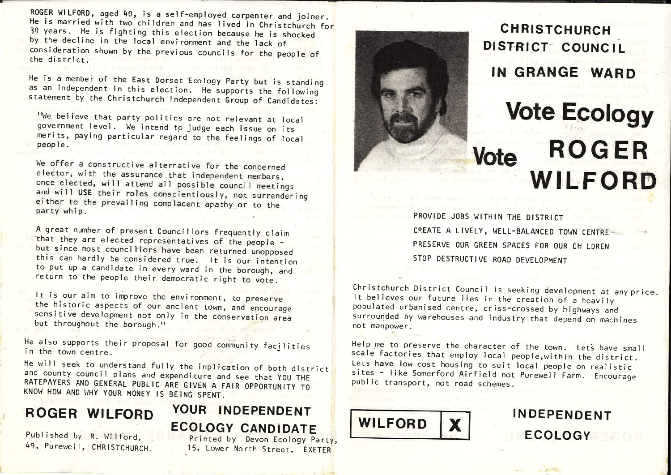ROGER WILFORD, aged 40, is <sup>a</sup> self-employed carpenter andnouth witrond, aged 40, is a seit-employed carpenter and joiner<br>He is married with two children and has lived in Christchurch f<br>30 years - He is fichting this also: for 30 marries with two christen and has lived in Christchurch for<br>30 years. He is fighting this election because he is shocked by the decline in the local environment and the lack of consideration shown by the previous councils for the people of<br>the district the district.

He is a member of the East Dorset Ecology Party but is standing<br>as an independent in this slow. as an independent in this election. He supports the following as an independent first election. He supports the following<br>statement by the Christchurch Independent Group of Candidates:

We believe that party politics are Ne believe that party politics are not relevant at local<br>government level. We intend to judge each issue on its government rever. We intend to judge each issue on its<br>merits, paying particular regard to the feelings of local<br>people.

We offer a constructive alternative for the concerned<br>elector with wh elector, with the assurance that independent members,once elected, will attend all possible council meetings and will USE their roles conscientiously, not surrenderingeither to the prevailing complacent apathy or to the starting of the starting complacent aparty which the starting  $\frac{1}{2}$ party whip. The contract of the contract of the contract of the contract of the contract of the contract of the contract of the contract of the contract of the contract of the contract of the contract of the contract of th

A great number of present Councillors frequently claim that they are elected representatives of the peopleence ency are elected representatives of the people -<br>but since most councillors have been returned unopposed this can hardly be considered true. It is our intention to put up <sup>a</sup> candidate in every ward in the borough, andreturn to the people their democratic right to vote.

t is our aim to improve the environment, to preserve the historic aspects of our ancient town, and encouragesensitive development not only in the conservation area but throughout the borough."

<sup>de also supports their proposal for good community facilities<br>in the town centre</sup> n the town centre

He will seek to understand fully the implication of both district<br>and county council along and until the implication of both district d county council plans and expenditure and see that YOU The councy council pians and expenditure and see that YOU THE<br>RATEPAYERS AND GENERAL PUBLIC ARE GIVEN A FAIR OPPORTUNITY TO<br>KNOW HOW AND VHY YOUR MONEY IS REING SPENT KNOW HOW AND WHY YOUR MONEY IS BEING SPENT.

# ROGER WILFORD

## YOUR INDEPENDENT ECOLOGY CANDIDATE Published by R. Wilford, Printed by Devon Frology

Purewell, CHRISTCHURCH.

by Bernshed by R. Wilford, the Printed by Devon Ecology Party,<br>49, Purewell, CHRISTOHUROH, and 15, Lower Morth Stream, EXETER 15, Lower North Street, EXETER



CHRISTCHURCHDISTRICT COUNCIL IN GRANGE WARD

## Vote Ecology **Vote ROGER** <u> and the state of the state of the state of the state of the state of the state of the state of the state of the state of the state of the state of the state of the state of the state of the state of the state of the stat</u> WILFO RD

PROVIDE JOBS WITHIN THE DISTRICT CREATE <sup>A</sup> LIVELY, WELL-BALANCED TOWN CENTRE~ PRESERVE OUR GREEN SPACES FOR OUR CHILDRENSTOP DESTRUCTIVE ROAD DEVELOPMENT

Christchurch District Council is seeking development at any price.<br>It believes our future lies in the creation of a limit is t believes our future lies in the creation of  $\epsilon$ It befleves our future lies in the creation of a heavily<br>populated urbanised centre, criss-crossed by highways and surrounded by warehouses and industry that depend on machines<br>not mannower not manpower.

Help me to preserve the character of the town. Lets have small scale factories that small scale e factories that employ local people, within the district Lets have low cost housing to suit local people on realistic<br>sites - like Somerford Airfield pet Burs, N.F. es - like Somerford Airfield not Purewell Farm. Encourage public transport, not road schemes.



INDEPENDENTECOLOGY